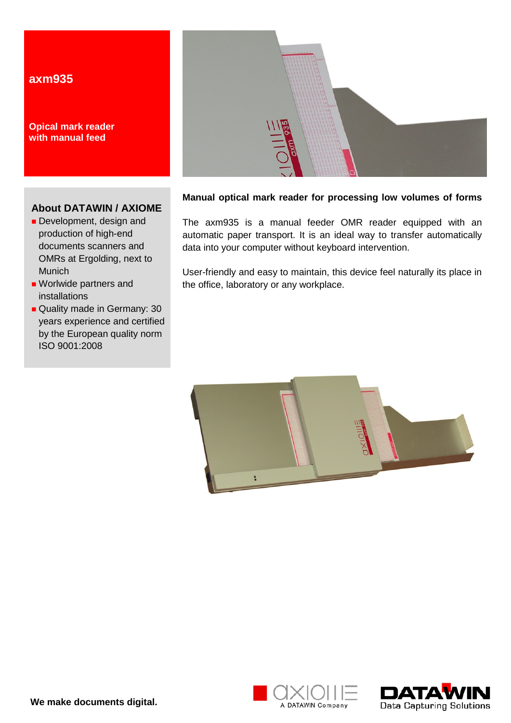# **axm935**

**Opical mark reader with manual feed**

# **About DATAWIN / AXIOME**

- Development, design and production of high-end documents scanners and OMRs at Ergolding, next to Munich
- **Worlwide partners and** installations
- Quality made in Germany: 30 years experience and certified by the European quality norm ISO 9001:2008



## **Manual optical mark reader for processing low volumes of forms**

The axm935 is a manual feeder OMR reader equipped with an automatic paper transport. It is an ideal way to transfer automatically data into your computer without keyboard intervention.

User-friendly and easy to maintain, this device feel naturally its place in the office, laboratory or any workplace.



A DATAWIN Company